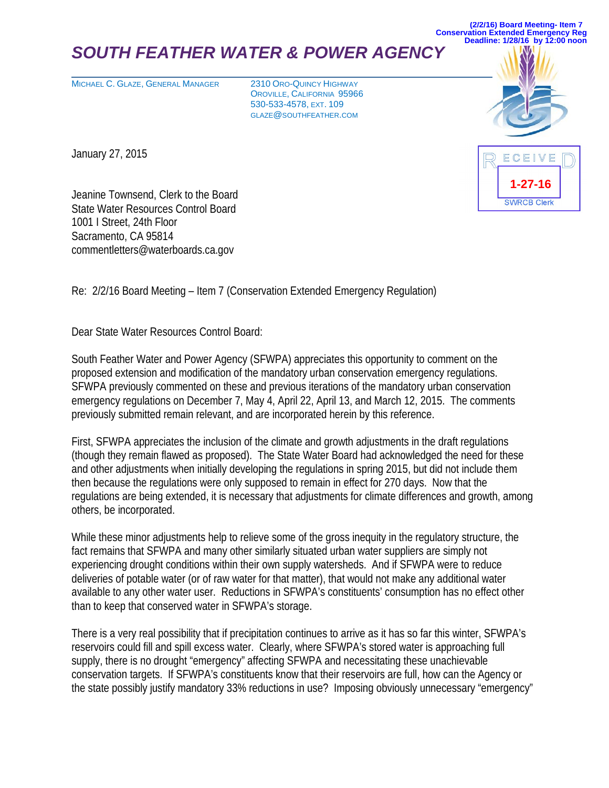# **SOUTH FEATHER WATER & POWER AGENC**

MICHAEL C. GLAZE, GENERAL MANAGER 2310 ORO-QUINCY HIGHWAY

OROVILLE, CALIFORNIA 95966 530-533-4578, EXT. 109 GLAZE@SOUTHFEATHER.COM

**(2/2/16) Board Meeting- Item 7 Conservation Extended Emergency Reg Deadline: 1/28/16 by 12:00 noon**

> ECEIVE **1-27-16SWRCB Clerk**

January 27, 2015

Jeanine Townsend, Clerk to the Board State Water Resources Control Board 1001 I Street, 24th Floor Sacramento, CA 95814 commentletters@waterboards.ca.gov

Re: 2/2/16 Board Meeting – Item 7 (Conservation Extended Emergency Regulation)

Dear State Water Resources Control Board:

South Feather Water and Power Agency (SFWPA) appreciates this opportunity to comment on the proposed extension and modification of the mandatory urban conservation emergency regulations. SFWPA previously commented on these and previous iterations of the mandatory urban conservation emergency regulations on December 7, May 4, April 22, April 13, and March 12, 2015. The comments previously submitted remain relevant, and are incorporated herein by this reference.

First, SFWPA appreciates the inclusion of the climate and growth adjustments in the draft regulations (though they remain flawed as proposed). The State Water Board had acknowledged the need for these and other adjustments when initially developing the regulations in spring 2015, but did not include them then because the regulations were only supposed to remain in effect for 270 days. Now that the regulations are being extended, it is necessary that adjustments for climate differences and growth, among others, be incorporated.

While these minor adjustments help to relieve some of the gross inequity in the regulatory structure, the fact remains that SFWPA and many other similarly situated urban water suppliers are simply not experiencing drought conditions within their own supply watersheds. And if SFWPA were to reduce deliveries of potable water (or of raw water for that matter), that would not make any additional water available to any other water user. Reductions in SFWPA's constituents' consumption has no effect other than to keep that conserved water in SFWPA's storage.

There is a very real possibility that if precipitation continues to arrive as it has so far this winter, SFWPA's reservoirs could fill and spill excess water. Clearly, where SFWPA's stored water is approaching full supply, there is no drought "emergency" affecting SFWPA and necessitating these unachievable conservation targets. If SFWPA's constituents know that their reservoirs are full, how can the Agency or the state possibly justify mandatory 33% reductions in use? Imposing obviously unnecessary "emergency"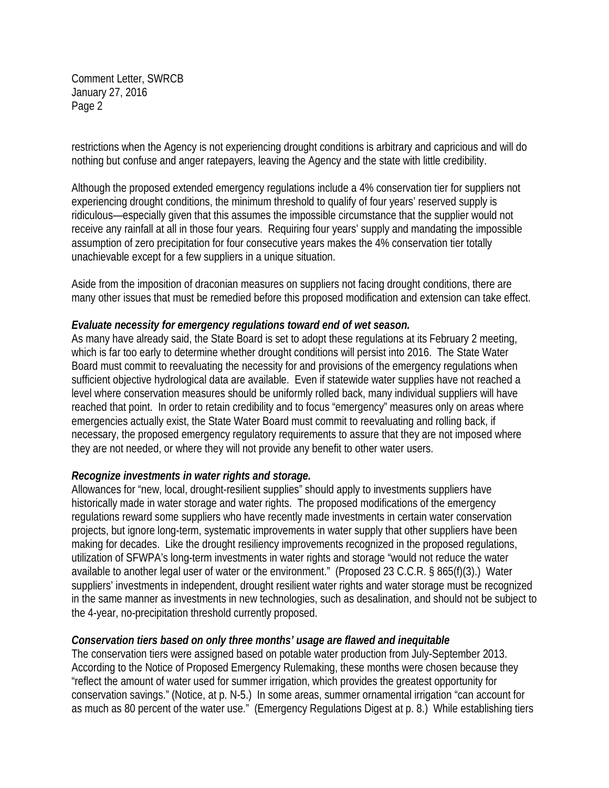Comment Letter, SWRCB January 27, 2016 Page 2

restrictions when the Agency is not experiencing drought conditions is arbitrary and capricious and will do nothing but confuse and anger ratepayers, leaving the Agency and the state with little credibility.

Although the proposed extended emergency regulations include a 4% conservation tier for suppliers not experiencing drought conditions, the minimum threshold to qualify of four years' reserved supply is ridiculous—especially given that this assumes the impossible circumstance that the supplier would not receive any rainfall at all in those four years. Requiring four years' supply and mandating the impossible assumption of zero precipitation for four consecutive years makes the 4% conservation tier totally unachievable except for a few suppliers in a unique situation.

Aside from the imposition of draconian measures on suppliers not facing drought conditions, there are many other issues that must be remedied before this proposed modification and extension can take effect.

#### *Evaluate necessity for emergency regulations toward end of wet season.*

As many have already said, the State Board is set to adopt these regulations at its February 2 meeting, which is far too early to determine whether drought conditions will persist into 2016. The State Water Board must commit to reevaluating the necessity for and provisions of the emergency regulations when sufficient objective hydrological data are available. Even if statewide water supplies have not reached a level where conservation measures should be uniformly rolled back, many individual suppliers will have reached that point. In order to retain credibility and to focus "emergency" measures only on areas where emergencies actually exist, the State Water Board must commit to reevaluating and rolling back, if necessary, the proposed emergency regulatory requirements to assure that they are not imposed where they are not needed, or where they will not provide any benefit to other water users.

#### *Recognize investments in water rights and storage.*

Allowances for "new, local, drought-resilient supplies" should apply to investments suppliers have historically made in water storage and water rights. The proposed modifications of the emergency regulations reward some suppliers who have recently made investments in certain water conservation projects, but ignore long-term, systematic improvements in water supply that other suppliers have been making for decades. Like the drought resiliency improvements recognized in the proposed regulations, utilization of SFWPA's long-term investments in water rights and storage "would not reduce the water available to another legal user of water or the environment." (Proposed 23 C.C.R. § 865(f)(3).) Water suppliers' investments in independent, drought resilient water rights and water storage must be recognized in the same manner as investments in new technologies, such as desalination, and should not be subject to the 4-year, no-precipitation threshold currently proposed.

#### *Conservation tiers based on only three months' usage are flawed and inequitable*

The conservation tiers were assigned based on potable water production from July-September 2013. According to the Notice of Proposed Emergency Rulemaking, these months were chosen because they "reflect the amount of water used for summer irrigation, which provides the greatest opportunity for conservation savings." (Notice, at p. N-5.) In some areas, summer ornamental irrigation "can account for as much as 80 percent of the water use." (Emergency Regulations Digest at p. 8.) While establishing tiers